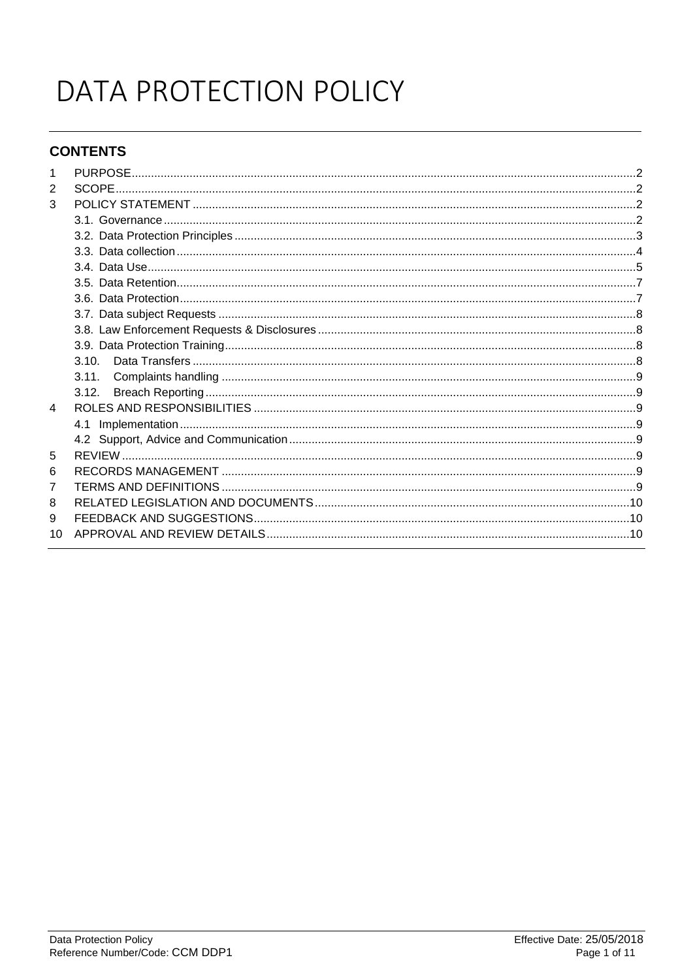# DATA PROTECTION POLICY

# **CONTENTS**

| $\overline{2}$ |       |  |
|----------------|-------|--|
| 3              |       |  |
|                |       |  |
|                |       |  |
|                |       |  |
|                |       |  |
|                |       |  |
|                |       |  |
|                |       |  |
|                |       |  |
|                |       |  |
|                | 3.10. |  |
|                | 3.11. |  |
|                | 3.12. |  |
| 4              |       |  |
|                |       |  |
|                |       |  |
| 5              |       |  |
| 6              |       |  |
| 7              |       |  |
| 8              |       |  |
| 9              |       |  |
| 10             |       |  |
|                |       |  |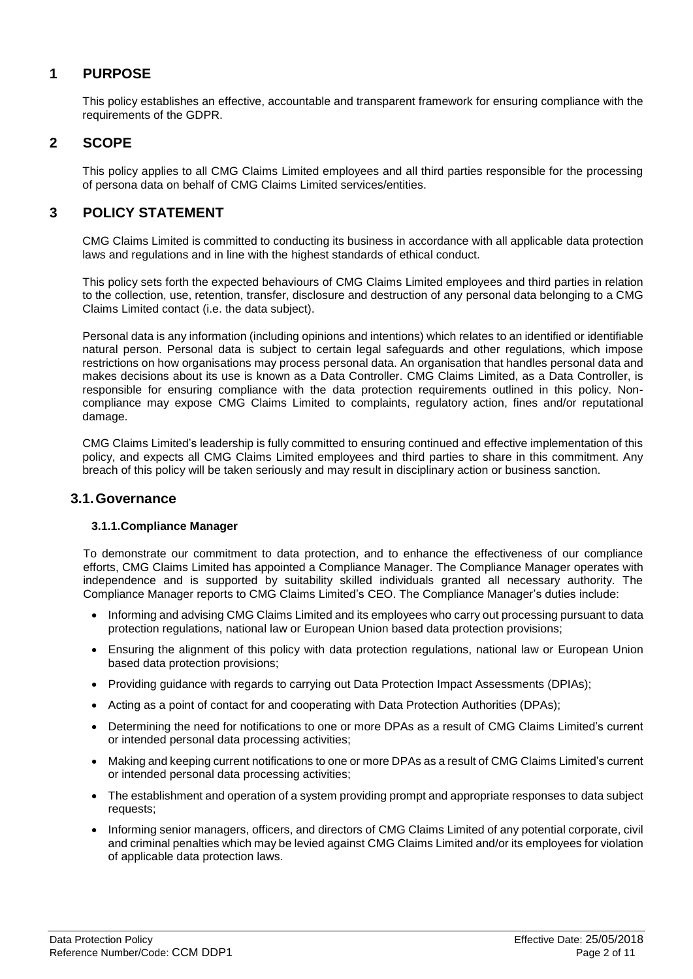# <span id="page-1-0"></span>**1 PURPOSE**

This policy establishes an effective, accountable and transparent framework for ensuring compliance with the requirements of the GDPR.

## <span id="page-1-1"></span>**2 SCOPE**

This policy applies to all CMG Claims Limited employees and all third parties responsible for the processing of persona data on behalf of CMG Claims Limited services/entities.

## <span id="page-1-2"></span>**3 POLICY STATEMENT**

CMG Claims Limited is committed to conducting its business in accordance with all applicable data protection laws and regulations and in line with the highest standards of ethical conduct.

This policy sets forth the expected behaviours of CMG Claims Limited employees and third parties in relation to the collection, use, retention, transfer, disclosure and destruction of any personal data belonging to a CMG Claims Limited contact (i.e. the data subject).

Personal data is any information (including opinions and intentions) which relates to an identified or identifiable natural person. Personal data is subject to certain legal safeguards and other regulations, which impose restrictions on how organisations may process personal data. An organisation that handles personal data and makes decisions about its use is known as a Data Controller. CMG Claims Limited, as a Data Controller, is responsible for ensuring compliance with the data protection requirements outlined in this policy. Noncompliance may expose CMG Claims Limited to complaints, regulatory action, fines and/or reputational damage.

CMG Claims Limited's leadership is fully committed to ensuring continued and effective implementation of this policy, and expects all CMG Claims Limited employees and third parties to share in this commitment. Any breach of this policy will be taken seriously and may result in disciplinary action or business sanction.

#### <span id="page-1-3"></span>**3.1.Governance**

#### **3.1.1.Compliance Manager**

To demonstrate our commitment to data protection, and to enhance the effectiveness of our compliance efforts, CMG Claims Limited has appointed a Compliance Manager. The Compliance Manager operates with independence and is supported by suitability skilled individuals granted all necessary authority. The Compliance Manager reports to CMG Claims Limited's CEO. The Compliance Manager's duties include:

- Informing and advising CMG Claims Limited and its employees who carry out processing pursuant to data protection regulations, national law or European Union based data protection provisions;
- Ensuring the alignment of this policy with data protection regulations, national law or European Union based data protection provisions;
- Providing guidance with regards to carrying out Data Protection Impact Assessments (DPIAs);
- Acting as a point of contact for and cooperating with Data Protection Authorities (DPAs);
- Determining the need for notifications to one or more DPAs as a result of CMG Claims Limited's current or intended personal data processing activities;
- Making and keeping current notifications to one or more DPAs as a result of CMG Claims Limited's current or intended personal data processing activities;
- The establishment and operation of a system providing prompt and appropriate responses to data subject requests;
- Informing senior managers, officers, and directors of CMG Claims Limited of any potential corporate, civil and criminal penalties which may be levied against CMG Claims Limited and/or its employees for violation of applicable data protection laws.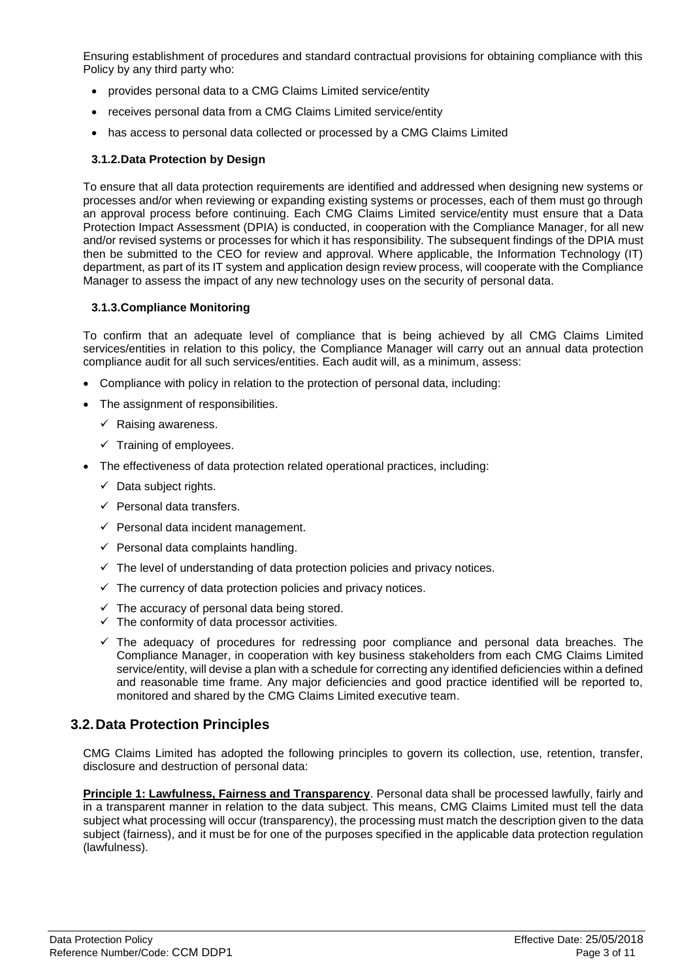Ensuring establishment of procedures and standard contractual provisions for obtaining compliance with this Policy by any third party who:

- provides personal data to a CMG Claims Limited service/entity
- receives personal data from a CMG Claims Limited service/entity
- has access to personal data collected or processed by a CMG Claims Limited

#### **3.1.2.Data Protection by Design**

To ensure that all data protection requirements are identified and addressed when designing new systems or processes and/or when reviewing or expanding existing systems or processes, each of them must go through an approval process before continuing. Each CMG Claims Limited service/entity must ensure that a Data Protection Impact Assessment (DPIA) is conducted, in cooperation with the Compliance Manager, for all new and/or revised systems or processes for which it has responsibility. The subsequent findings of the DPIA must then be submitted to the CEO for review and approval. Where applicable, the Information Technology (IT) department, as part of its IT system and application design review process, will cooperate with the Compliance Manager to assess the impact of any new technology uses on the security of personal data.

#### **3.1.3.Compliance Monitoring**

To confirm that an adequate level of compliance that is being achieved by all CMG Claims Limited services/entities in relation to this policy, the Compliance Manager will carry out an annual data protection compliance audit for all such services/entities. Each audit will, as a minimum, assess:

- Compliance with policy in relation to the protection of personal data, including:
- The assignment of responsibilities.
	- $\checkmark$  Raising awareness.
	- $\checkmark$  Training of employees.
- The effectiveness of data protection related operational practices, including:
	- $\checkmark$  Data subject rights.
	- $\checkmark$  Personal data transfers.
	- $\checkmark$  Personal data incident management.
	- $\checkmark$  Personal data complaints handling.
	- $\checkmark$  The level of understanding of data protection policies and privacy notices.
	- $\checkmark$  The currency of data protection policies and privacy notices.
	- $\checkmark$  The accuracy of personal data being stored.
	- $\checkmark$  The conformity of data processor activities.
	- $\checkmark$  The adequacy of procedures for redressing poor compliance and personal data breaches. The Compliance Manager, in cooperation with key business stakeholders from each CMG Claims Limited service/entity, will devise a plan with a schedule for correcting any identified deficiencies within a defined and reasonable time frame. Any major deficiencies and good practice identified will be reported to, monitored and shared by the CMG Claims Limited executive team.

## <span id="page-2-0"></span>**3.2.Data Protection Principles**

CMG Claims Limited has adopted the following principles to govern its collection, use, retention, transfer, disclosure and destruction of personal data:

**Principle 1: Lawfulness, Fairness and Transparency**. Personal data shall be processed lawfully, fairly and in a transparent manner in relation to the data subject. This means, CMG Claims Limited must tell the data subject what processing will occur (transparency), the processing must match the description given to the data subject (fairness), and it must be for one of the purposes specified in the applicable data protection regulation (lawfulness).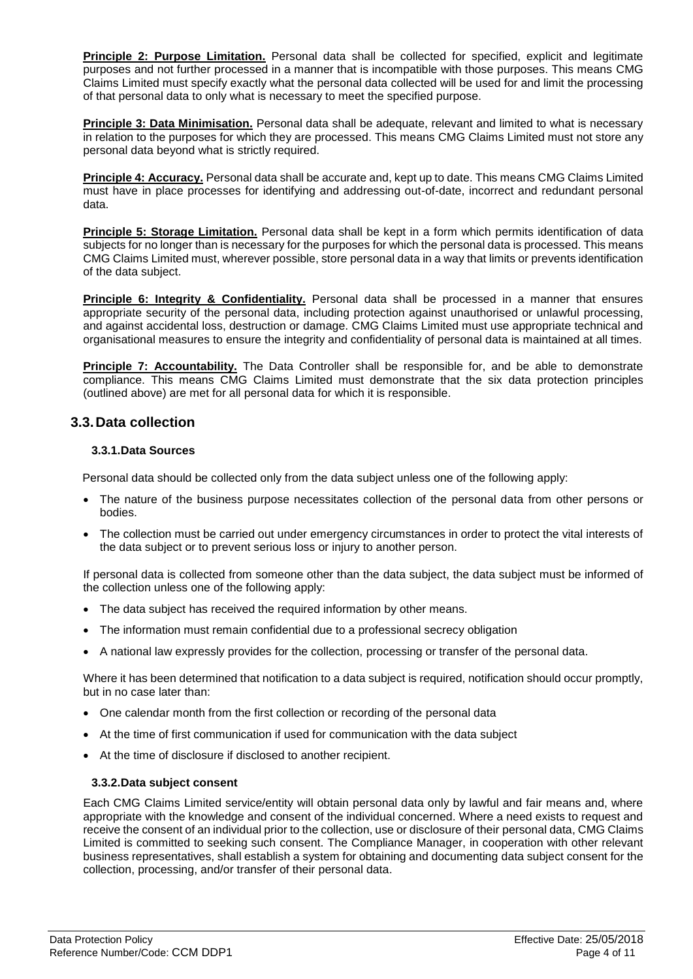**Principle 2: Purpose Limitation.** Personal data shall be collected for specified, explicit and legitimate purposes and not further processed in a manner that is incompatible with those purposes. This means CMG Claims Limited must specify exactly what the personal data collected will be used for and limit the processing of that personal data to only what is necessary to meet the specified purpose.

**Principle 3: Data Minimisation.** Personal data shall be adequate, relevant and limited to what is necessary in relation to the purposes for which they are processed. This means CMG Claims Limited must not store any personal data beyond what is strictly required.

**Principle 4: Accuracy.** Personal data shall be accurate and, kept up to date. This means CMG Claims Limited must have in place processes for identifying and addressing out-of-date, incorrect and redundant personal data.

**Principle 5: Storage Limitation.** Personal data shall be kept in a form which permits identification of data subjects for no longer than is necessary for the purposes for which the personal data is processed. This means CMG Claims Limited must, wherever possible, store personal data in a way that limits or prevents identification of the data subject.

**Principle 6: Integrity & Confidentiality.** Personal data shall be processed in a manner that ensures appropriate security of the personal data, including protection against unauthorised or unlawful processing, and against accidental loss, destruction or damage. CMG Claims Limited must use appropriate technical and organisational measures to ensure the integrity and confidentiality of personal data is maintained at all times.

**Principle 7: Accountability.** The Data Controller shall be responsible for, and be able to demonstrate compliance. This means CMG Claims Limited must demonstrate that the six data protection principles (outlined above) are met for all personal data for which it is responsible.

## <span id="page-3-0"></span>**3.3.Data collection**

#### **3.3.1.Data Sources**

Personal data should be collected only from the data subject unless one of the following apply:

- The nature of the business purpose necessitates collection of the personal data from other persons or bodies.
- The collection must be carried out under emergency circumstances in order to protect the vital interests of the data subject or to prevent serious loss or injury to another person.

If personal data is collected from someone other than the data subject, the data subject must be informed of the collection unless one of the following apply:

- The data subject has received the required information by other means.
- The information must remain confidential due to a professional secrecy obligation
- A national law expressly provides for the collection, processing or transfer of the personal data.

Where it has been determined that notification to a data subject is required, notification should occur promptly, but in no case later than:

- One calendar month from the first collection or recording of the personal data
- At the time of first communication if used for communication with the data subject
- At the time of disclosure if disclosed to another recipient.

#### **3.3.2.Data subject consent**

Each CMG Claims Limited service/entity will obtain personal data only by lawful and fair means and, where appropriate with the knowledge and consent of the individual concerned. Where a need exists to request and receive the consent of an individual prior to the collection, use or disclosure of their personal data, CMG Claims Limited is committed to seeking such consent. The Compliance Manager, in cooperation with other relevant business representatives, shall establish a system for obtaining and documenting data subject consent for the collection, processing, and/or transfer of their personal data.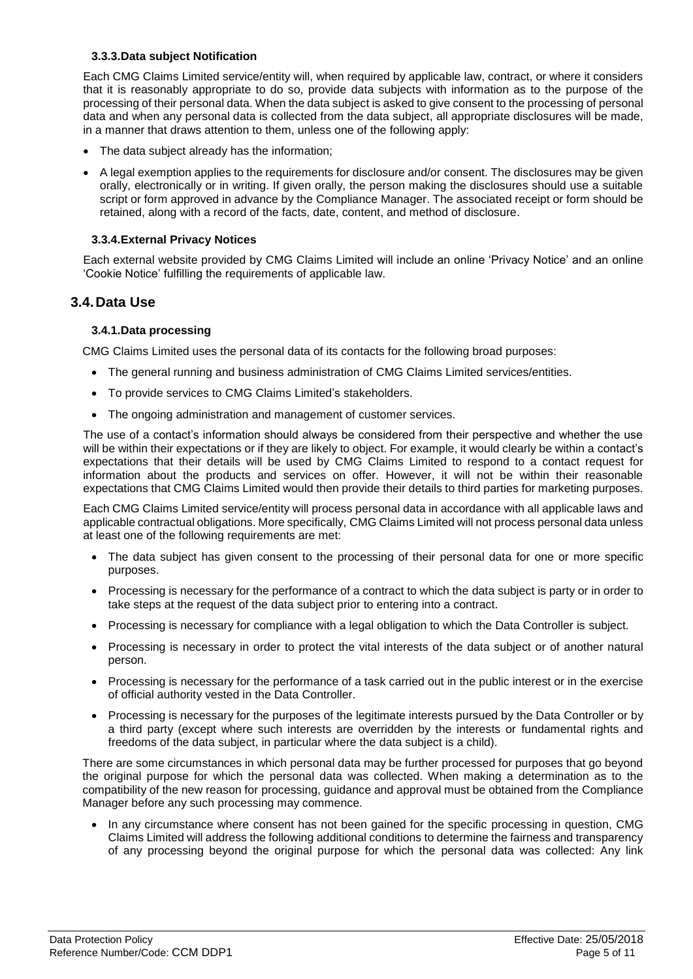#### **3.3.3.Data subject Notification**

Each CMG Claims Limited service/entity will, when required by applicable law, contract, or where it considers that it is reasonably appropriate to do so, provide data subjects with information as to the purpose of the processing of their personal data. When the data subject is asked to give consent to the processing of personal data and when any personal data is collected from the data subject, all appropriate disclosures will be made, in a manner that draws attention to them, unless one of the following apply:

- The data subject already has the information;
- A legal exemption applies to the requirements for disclosure and/or consent. The disclosures may be given orally, electronically or in writing. If given orally, the person making the disclosures should use a suitable script or form approved in advance by the Compliance Manager. The associated receipt or form should be retained, along with a record of the facts, date, content, and method of disclosure.

#### **3.3.4.External Privacy Notices**

Each external website provided by CMG Claims Limited will include an online 'Privacy Notice' and an online 'Cookie Notice' fulfilling the requirements of applicable law.

## <span id="page-4-0"></span>**3.4.Data Use**

#### **3.4.1.Data processing**

CMG Claims Limited uses the personal data of its contacts for the following broad purposes:

- The general running and business administration of CMG Claims Limited services/entities.
- To provide services to CMG Claims Limited's stakeholders.
- The ongoing administration and management of customer services.

The use of a contact's information should always be considered from their perspective and whether the use will be within their expectations or if they are likely to object. For example, it would clearly be within a contact's expectations that their details will be used by CMG Claims Limited to respond to a contact request for information about the products and services on offer. However, it will not be within their reasonable expectations that CMG Claims Limited would then provide their details to third parties for marketing purposes.

Each CMG Claims Limited service/entity will process personal data in accordance with all applicable laws and applicable contractual obligations. More specifically, CMG Claims Limited will not process personal data unless at least one of the following requirements are met:

- The data subject has given consent to the processing of their personal data for one or more specific purposes.
- Processing is necessary for the performance of a contract to which the data subject is party or in order to take steps at the request of the data subject prior to entering into a contract.
- Processing is necessary for compliance with a legal obligation to which the Data Controller is subject.
- Processing is necessary in order to protect the vital interests of the data subject or of another natural person.
- Processing is necessary for the performance of a task carried out in the public interest or in the exercise of official authority vested in the Data Controller.
- Processing is necessary for the purposes of the legitimate interests pursued by the Data Controller or by a third party (except where such interests are overridden by the interests or fundamental rights and freedoms of the data subject, in particular where the data subject is a child).

There are some circumstances in which personal data may be further processed for purposes that go beyond the original purpose for which the personal data was collected. When making a determination as to the compatibility of the new reason for processing, guidance and approval must be obtained from the Compliance Manager before any such processing may commence.

 In any circumstance where consent has not been gained for the specific processing in question, CMG Claims Limited will address the following additional conditions to determine the fairness and transparency of any processing beyond the original purpose for which the personal data was collected: Any link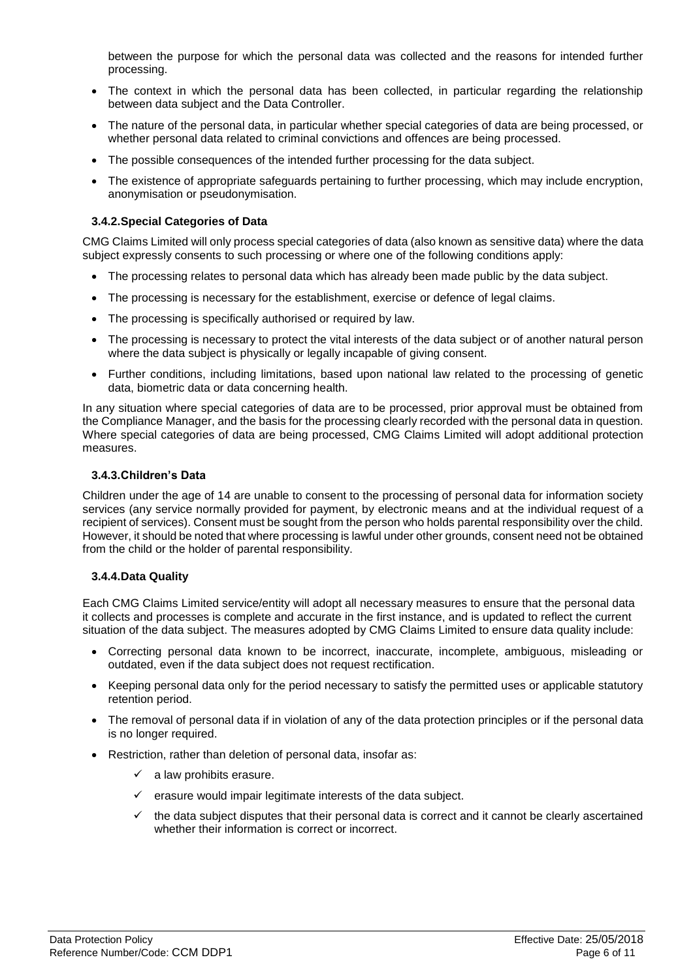between the purpose for which the personal data was collected and the reasons for intended further processing.

- The context in which the personal data has been collected, in particular regarding the relationship between data subject and the Data Controller.
- The nature of the personal data, in particular whether special categories of data are being processed, or whether personal data related to criminal convictions and offences are being processed.
- The possible consequences of the intended further processing for the data subject.
- The existence of appropriate safeguards pertaining to further processing, which may include encryption, anonymisation or pseudonymisation.

#### **3.4.2.Special Categories of Data**

CMG Claims Limited will only process special categories of data (also known as sensitive data) where the data subject expressly consents to such processing or where one of the following conditions apply:

- The processing relates to personal data which has already been made public by the data subject.
- The processing is necessary for the establishment, exercise or defence of legal claims.
- The processing is specifically authorised or required by law.
- The processing is necessary to protect the vital interests of the data subject or of another natural person where the data subject is physically or legally incapable of giving consent.
- Further conditions, including limitations, based upon national law related to the processing of genetic data, biometric data or data concerning health.

In any situation where special categories of data are to be processed, prior approval must be obtained from the Compliance Manager, and the basis for the processing clearly recorded with the personal data in question. Where special categories of data are being processed, CMG Claims Limited will adopt additional protection measures.

#### **3.4.3.Children's Data**

Children under the age of 14 are unable to consent to the processing of personal data for information society services (any service normally provided for payment, by electronic means and at the individual request of a recipient of services). Consent must be sought from the person who holds parental responsibility over the child. However, it should be noted that where processing is lawful under other grounds, consent need not be obtained from the child or the holder of parental responsibility.

#### **3.4.4.Data Quality**

Each CMG Claims Limited service/entity will adopt all necessary measures to ensure that the personal data it collects and processes is complete and accurate in the first instance, and is updated to reflect the current situation of the data subject. The measures adopted by CMG Claims Limited to ensure data quality include:

- Correcting personal data known to be incorrect, inaccurate, incomplete, ambiguous, misleading or outdated, even if the data subject does not request rectification.
- Keeping personal data only for the period necessary to satisfy the permitted uses or applicable statutory retention period.
- The removal of personal data if in violation of any of the data protection principles or if the personal data is no longer required.
- Restriction, rather than deletion of personal data, insofar as:
	- $\checkmark$  a law prohibits erasure.
	- erasure would impair legitimate interests of the data subject.
	- the data subject disputes that their personal data is correct and it cannot be clearly ascertained whether their information is correct or incorrect.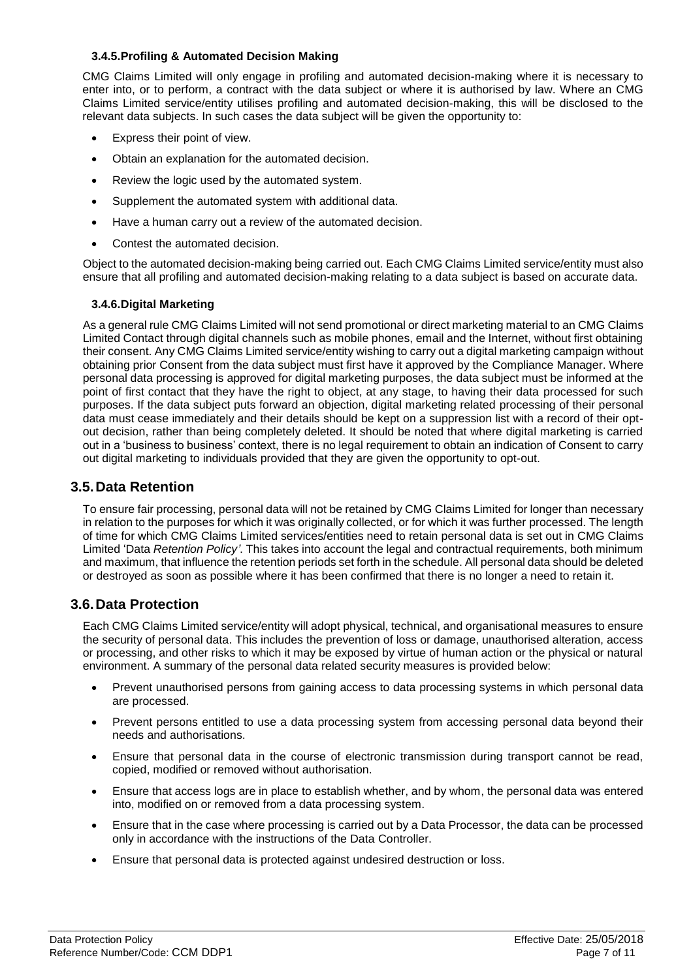#### **3.4.5.Profiling & Automated Decision Making**

CMG Claims Limited will only engage in profiling and automated decision-making where it is necessary to enter into, or to perform, a contract with the data subject or where it is authorised by law. Where an CMG Claims Limited service/entity utilises profiling and automated decision-making, this will be disclosed to the relevant data subjects. In such cases the data subject will be given the opportunity to:

- Express their point of view.
- Obtain an explanation for the automated decision.
- Review the logic used by the automated system.
- Supplement the automated system with additional data.
- Have a human carry out a review of the automated decision.
- Contest the automated decision.

Object to the automated decision-making being carried out. Each CMG Claims Limited service/entity must also ensure that all profiling and automated decision-making relating to a data subject is based on accurate data.

#### **3.4.6.Digital Marketing**

As a general rule CMG Claims Limited will not send promotional or direct marketing material to an CMG Claims Limited Contact through digital channels such as mobile phones, email and the Internet, without first obtaining their consent. Any CMG Claims Limited service/entity wishing to carry out a digital marketing campaign without obtaining prior Consent from the data subject must first have it approved by the Compliance Manager. Where personal data processing is approved for digital marketing purposes, the data subject must be informed at the point of first contact that they have the right to object, at any stage, to having their data processed for such purposes. If the data subject puts forward an objection, digital marketing related processing of their personal data must cease immediately and their details should be kept on a suppression list with a record of their optout decision, rather than being completely deleted. It should be noted that where digital marketing is carried out in a 'business to business' context, there is no legal requirement to obtain an indication of Consent to carry out digital marketing to individuals provided that they are given the opportunity to opt-out.

## <span id="page-6-0"></span>**3.5.Data Retention**

To ensure fair processing, personal data will not be retained by CMG Claims Limited for longer than necessary in relation to the purposes for which it was originally collected, or for which it was further processed. The length of time for which CMG Claims Limited services/entities need to retain personal data is set out in CMG Claims Limited 'Data *Retention Policy'*. This takes into account the legal and contractual requirements, both minimum and maximum, that influence the retention periods set forth in the schedule. All personal data should be deleted or destroyed as soon as possible where it has been confirmed that there is no longer a need to retain it.

## <span id="page-6-1"></span>**3.6.Data Protection**

Each CMG Claims Limited service/entity will adopt physical, technical, and organisational measures to ensure the security of personal data. This includes the prevention of loss or damage, unauthorised alteration, access or processing, and other risks to which it may be exposed by virtue of human action or the physical or natural environment. A summary of the personal data related security measures is provided below:

- Prevent unauthorised persons from gaining access to data processing systems in which personal data are processed.
- Prevent persons entitled to use a data processing system from accessing personal data beyond their needs and authorisations.
- Ensure that personal data in the course of electronic transmission during transport cannot be read, copied, modified or removed without authorisation.
- Ensure that access logs are in place to establish whether, and by whom, the personal data was entered into, modified on or removed from a data processing system.
- Ensure that in the case where processing is carried out by a Data Processor, the data can be processed only in accordance with the instructions of the Data Controller.
- Ensure that personal data is protected against undesired destruction or loss.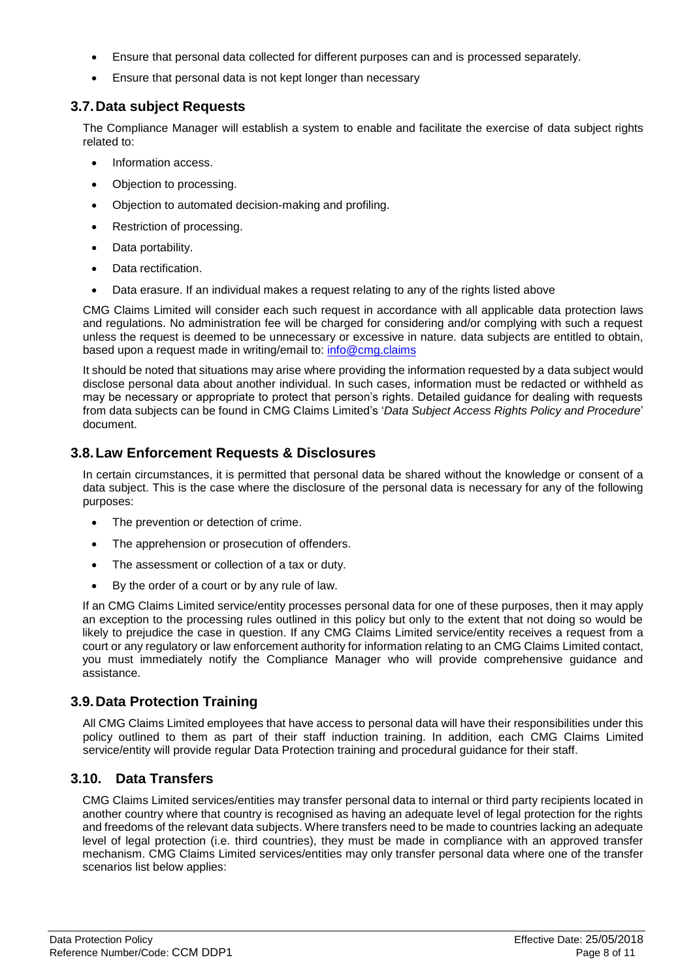- Ensure that personal data collected for different purposes can and is processed separately.
- Ensure that personal data is not kept longer than necessary

## <span id="page-7-0"></span>**3.7.Data subject Requests**

The Compliance Manager will establish a system to enable and facilitate the exercise of data subject rights related to:

- Information access.
- Objection to processing.
- Objection to automated decision-making and profiling.
- Restriction of processing.
- Data portability.
- Data rectification.
- Data erasure. If an individual makes a request relating to any of the rights listed above

CMG Claims Limited will consider each such request in accordance with all applicable data protection laws and regulations. No administration fee will be charged for considering and/or complying with such a request unless the request is deemed to be unnecessary or excessive in nature. data subjects are entitled to obtain, based upon a request made in writing/email to: [info@cmg.claims](mailto:info@cmg.claims)

It should be noted that situations may arise where providing the information requested by a data subject would disclose personal data about another individual. In such cases, information must be redacted or withheld as may be necessary or appropriate to protect that person's rights. Detailed guidance for dealing with requests from data subjects can be found in CMG Claims Limited's '*Data Subject Access Rights Policy and Procedure*' document.

## <span id="page-7-1"></span>**3.8.Law Enforcement Requests & Disclosures**

In certain circumstances, it is permitted that personal data be shared without the knowledge or consent of a data subject. This is the case where the disclosure of the personal data is necessary for any of the following purposes:

- The prevention or detection of crime.
- The apprehension or prosecution of offenders.
- The assessment or collection of a tax or duty.
- By the order of a court or by any rule of law.

If an CMG Claims Limited service/entity processes personal data for one of these purposes, then it may apply an exception to the processing rules outlined in this policy but only to the extent that not doing so would be likely to prejudice the case in question. If any CMG Claims Limited service/entity receives a request from a court or any regulatory or law enforcement authority for information relating to an CMG Claims Limited contact, you must immediately notify the Compliance Manager who will provide comprehensive guidance and assistance.

## <span id="page-7-2"></span>**3.9.Data Protection Training**

All CMG Claims Limited employees that have access to personal data will have their responsibilities under this policy outlined to them as part of their staff induction training. In addition, each CMG Claims Limited service/entity will provide regular Data Protection training and procedural guidance for their staff.

## <span id="page-7-3"></span>**3.10. Data Transfers**

CMG Claims Limited services/entities may transfer personal data to internal or third party recipients located in another country where that country is recognised as having an adequate level of legal protection for the rights and freedoms of the relevant data subjects. Where transfers need to be made to countries lacking an adequate level of legal protection (i.e. third countries), they must be made in compliance with an approved transfer mechanism. CMG Claims Limited services/entities may only transfer personal data where one of the transfer scenarios list below applies: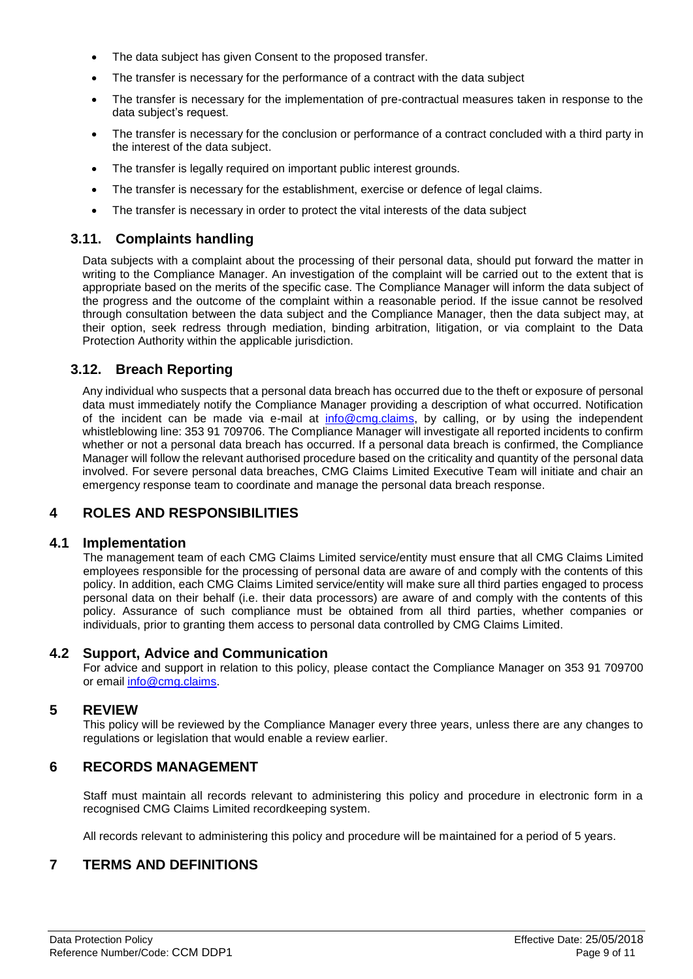- The data subject has given Consent to the proposed transfer.
- The transfer is necessary for the performance of a contract with the data subject
- The transfer is necessary for the implementation of pre-contractual measures taken in response to the data subject's request.
- The transfer is necessary for the conclusion or performance of a contract concluded with a third party in the interest of the data subject.
- The transfer is legally required on important public interest grounds.
- The transfer is necessary for the establishment, exercise or defence of legal claims.
- The transfer is necessary in order to protect the vital interests of the data subject

## <span id="page-8-0"></span>**3.11. Complaints handling**

Data subjects with a complaint about the processing of their personal data, should put forward the matter in writing to the Compliance Manager. An investigation of the complaint will be carried out to the extent that is appropriate based on the merits of the specific case. The Compliance Manager will inform the data subject of the progress and the outcome of the complaint within a reasonable period. If the issue cannot be resolved through consultation between the data subject and the Compliance Manager, then the data subject may, at their option, seek redress through mediation, binding arbitration, litigation, or via complaint to the Data Protection Authority within the applicable jurisdiction.

## <span id="page-8-1"></span>**3.12. Breach Reporting**

Any individual who suspects that a personal data breach has occurred due to the theft or exposure of personal data must immediately notify the Compliance Manager providing a description of what occurred. Notification of the incident can be made via e-mail at [info@cmg.claims,](mailto:info@cmg.claims) by calling, or by using the independent whistleblowing line: 353 91 709706. The Compliance Manager will investigate all reported incidents to confirm whether or not a personal data breach has occurred. If a personal data breach is confirmed, the Compliance Manager will follow the relevant authorised procedure based on the criticality and quantity of the personal data involved. For severe personal data breaches, CMG Claims Limited Executive Team will initiate and chair an emergency response team to coordinate and manage the personal data breach response.

## <span id="page-8-2"></span>**4 ROLES AND RESPONSIBILITIES**

#### <span id="page-8-3"></span>**4.1 Implementation**

The management team of each CMG Claims Limited service/entity must ensure that all CMG Claims Limited employees responsible for the processing of personal data are aware of and comply with the contents of this policy. In addition, each CMG Claims Limited service/entity will make sure all third parties engaged to process personal data on their behalf (i.e. their data processors) are aware of and comply with the contents of this policy. Assurance of such compliance must be obtained from all third parties, whether companies or individuals, prior to granting them access to personal data controlled by CMG Claims Limited.

#### <span id="page-8-4"></span>**4.2 Support, Advice and Communication**

For advice and support in relation to this policy, please contact the Compliance Manager on 353 91 709700 or email [info@cmg.claims.](mailto:info@cmg.claims)

#### <span id="page-8-5"></span>**5 REVIEW**

This policy will be reviewed by the Compliance Manager every three years, unless there are any changes to regulations or legislation that would enable a review earlier.

#### <span id="page-8-6"></span>**6 RECORDS MANAGEMENT**

Staff must maintain all records relevant to administering this policy and procedure in electronic form in a recognised CMG Claims Limited recordkeeping system.

All records relevant to administering this policy and procedure will be maintained for a period of 5 years.

## <span id="page-8-7"></span>**7 TERMS AND DEFINITIONS**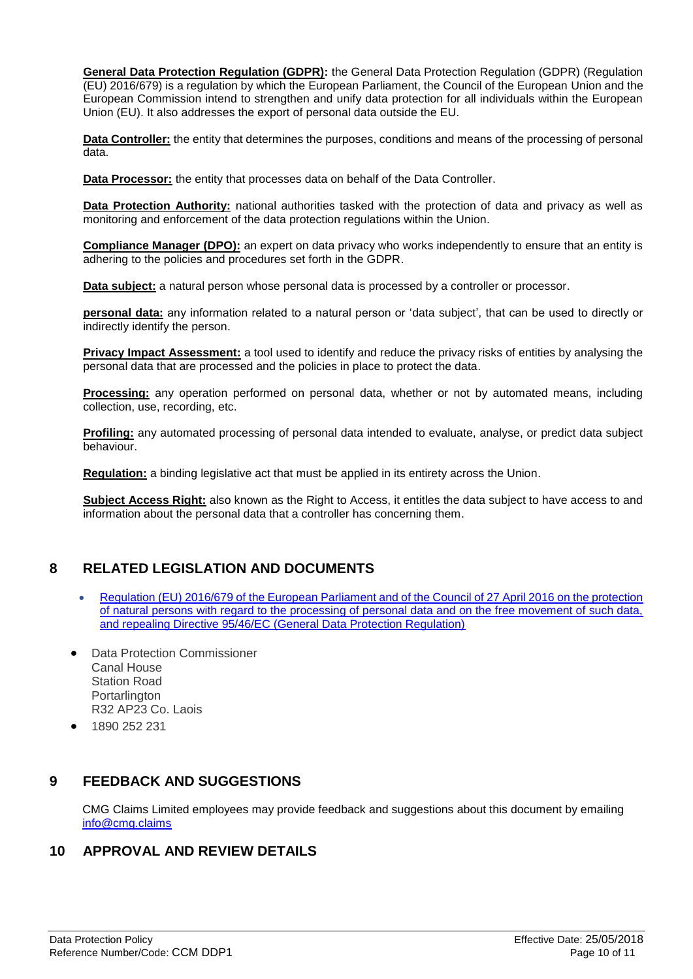**General Data Protection Regulation (GDPR):** the General Data Protection Regulation (GDPR) (Regulation (EU) 2016/679) is a regulation by which the European Parliament, the Council of the European Union and the European Commission intend to strengthen and unify data protection for all individuals within the European Union (EU). It also addresses the export of personal data outside the EU.

**Data Controller:** the entity that determines the purposes, conditions and means of the processing of personal data.

**Data Processor:** the entity that processes data on behalf of the Data Controller.

**Data Protection Authority:** national authorities tasked with the protection of data and privacy as well as monitoring and enforcement of the data protection regulations within the Union.

**Compliance Manager (DPO):** an expert on data privacy who works independently to ensure that an entity is adhering to the policies and procedures set forth in the GDPR.

**Data subject:** a natural person whose personal data is processed by a controller or processor.

**personal data:** any information related to a natural person or 'data subject', that can be used to directly or indirectly identify the person.

**Privacy Impact Assessment:** a tool used to identify and reduce the privacy risks of entities by analysing the personal data that are processed and the policies in place to protect the data.

**Processing:** any operation performed on personal data, whether or not by automated means, including collection, use, recording, etc.

**Profiling:** any automated processing of personal data intended to evaluate, analyse, or predict data subject behaviour.

**Regulation:** a binding legislative act that must be applied in its entirety across the Union.

**Subject Access Right:** also known as the Right to Access, it entitles the data subject to have access to and information about the personal data that a controller has concerning them.

# <span id="page-9-0"></span>**8 RELATED LEGISLATION AND DOCUMENTS**

- [Regulation \(EU\) 2016/679 of the European Parliament and of the Council of 27 April 2016 on the protection](http://eur-lex.europa.eu/legal-content/EN/TXT/?uri=CELEX%3A32016R0679)  [of natural persons with regard to the processing of personal data and on the free movement of such data,](http://eur-lex.europa.eu/legal-content/EN/TXT/?uri=CELEX%3A32016R0679)  and [repealing Directive 95/46/EC \(General Data Protection Regulation\)](http://eur-lex.europa.eu/legal-content/EN/TXT/?uri=CELEX%3A32016R0679)
- Data Protection Commissioner Canal House Station Road Portarlington R32 AP23 Co. Laois
- 1890 252 231

# <span id="page-9-1"></span>**9 FEEDBACK AND SUGGESTIONS**

CMG Claims Limited employees may provide feedback and suggestions about this document by emailing [info@cmg.claims](mailto:info@cmg.claims)

## <span id="page-9-2"></span>**10 APPROVAL AND REVIEW DETAILS**